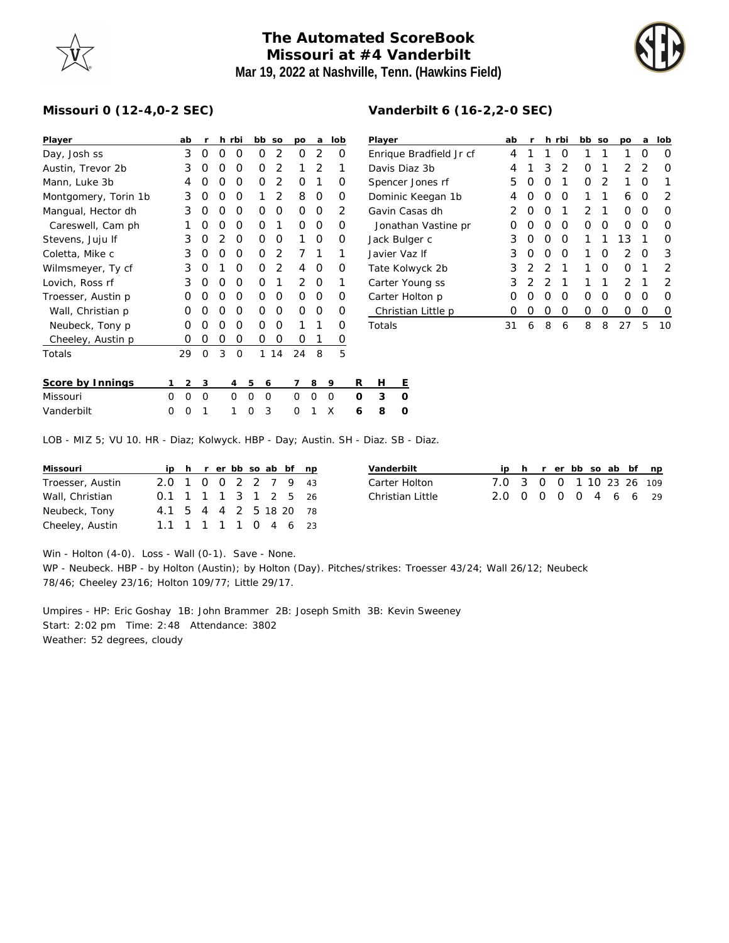## **The Automated ScoreBook Missouri at #4 Vanderbilt Mar 19, 2022 at Nashville, Tenn. (Hawkins Field)**



## **Missouri 0 (12-4,0-2 SEC)**

| Player               |   | ab | r        |   | h rbi    |   | bb       | SO             | po | a              | lob |   | Player    |   |  |
|----------------------|---|----|----------|---|----------|---|----------|----------------|----|----------------|-----|---|-----------|---|--|
| Day, Josh ss         |   | 3  | 0        | O | O        |   | O        | 2              | Ο  | 2              | O   |   | Enrique   |   |  |
| Austin, Trevor 2b    |   | 3  | Ω        | O | O        |   | O        | 2              | 1  | $\overline{2}$ | 1   |   | Davis Di  |   |  |
| Mann, Luke 3b        |   | 4  | Ω        | O | O        |   | O        | $\overline{2}$ | O  | 1              | O   |   | Spencer   |   |  |
| Montgomery, Torin 1b |   | 3  | Ο        | O | O        |   | 1        | 2              | 8  | Ο              | Ο   |   | Dominic   |   |  |
| Mangual, Hector dh   |   | 3  | Ο        | O | O        |   | O        | O              | O  | Ο              | 2   |   | Gavin Ca  |   |  |
| Careswell, Cam ph    |   | 1  | Ο        | O | O        |   | O        | 1              | Ο  | Ο              | O   |   | Jonath    |   |  |
| Stevens, Juju If     |   | 3  | Ο        | 2 | O        |   | O        | O              | 1  | Ο              | Ο   |   | Jack Bul  |   |  |
| Coletta, Mike c      |   | 3  | O        | O | O        |   | O        | 2              | 7  | 1              | 1   |   | Javier Va |   |  |
| Wilmsmeyer, Ty cf    |   | 3  | Ο        | 1 | O        |   | O        | 2              | 4  | Ο              | Ο   |   | Tate Kol  |   |  |
| Lovich, Ross rf      |   | 3  | O        | O | O        |   | O        | 1              | 2  | O              | 1   |   | Carter Y  |   |  |
| Troesser, Austin p   |   | O  | Ω        | O | O        |   | O        | 0              | Ω  | Ο              | Ω   |   | Carter H  |   |  |
| Wall, Christian p    |   | O  | Ω        | O | O        |   | O        | O              | Ω  | Ο              | Ω   |   | Christia  |   |  |
| Neubeck, Tony p      |   | O  | Ω        | O | O        |   | O        | O              | 1  | 1              | O   |   | Totals    |   |  |
| Cheeley, Austin p    |   | O  | Ο        | Ο | O        |   | Ο        | Ο              | Ω  | 1              | O   |   |           |   |  |
| Totals               |   | 29 | $\Omega$ | 3 | $\Omega$ |   | 1        | 14             | 24 | 8              | 5   |   |           |   |  |
| Score by Innings     | 1 | 2  | 3        |   | 4        | 5 | 6        |                | 7  | 8              | 9   | R | н         | Ε |  |
| Missouri             | 0 | 0  | 0        |   | O        | 0 | $\Omega$ |                | 0  | O              | O   | O | 3         | O |  |
| Vanderbilt           | Ω | O  | 1        |   | 1        | O | 3        |                | 0  | 1              | X   | 6 | 8         | 0 |  |

| Vanderbilt 6 (16-2, 2-0 SEC) |  |
|------------------------------|--|
|                              |  |

| Player                  | ab               | r                |               | h rbi | bb | <b>SO</b> | po            | a | lob |
|-------------------------|------------------|------------------|---------------|-------|----|-----------|---------------|---|-----|
| Enrique Bradfield Jr cf | 4                | 1                | 1             | Ο     | 1  | 1         |               | Ω | Ω   |
| Davis Diaz 3b           | 4                | 1                | 3             | 2     | Ω  | 1         | 2             | 2 | 0   |
| Spencer Jones rf        | 5                | 0                | Ω             |       | Ω  | 2         |               | Ω |     |
| Dominic Keegan 1b       | 4                | $\left( \right)$ | Ω             | Ω     | 1  | 1         | 6             | Ω | 2   |
| Gavin Casas dh          | 2                | 0                | Ω             | 1     | 2  | 1         | Ω             | Ω | Ω   |
| Jonathan Vastine pr     |                  | 0                | Ω             | Ω     | Ω  | 0         | Ω             | Ω | ∩   |
| Jack Bulger c           | 3                | Ω                | Ω             | O     | 1  | 1         | 13            | 1 | ∩   |
| Javier Vaz If           | 3                | $\left( \right)$ | Ω             | Ω     | 1  | Ω         | $\mathcal{P}$ | O | 3   |
| Tate Kolwyck 2b         | 3                | $\mathcal{P}$    | $\mathcal{P}$ | 1     | 1  | Ω         | Ω             | 1 | 2   |
| Carter Young ss         | 3                | 2                | 2             | 1     | 1  | 1         | $\mathcal{P}$ | 1 | 2   |
| Carter Holton p         | $\left( \right)$ | $\left( \right)$ | Ω             | Ω     | Ω  | Ω         | Ω             | O | Ω   |
| Christian Little p      | Ω                | 0                | 0             | Ω     | Ω  | Ω         | Ω             | Ω | O   |
| Totals                  | 31               | 6                | 8             | 6     | 8  | 8         | 27            | 5 | 10  |
|                         |                  |                  |               |       |    |           |               |   |     |

LOB - MIZ 5; VU 10. HR - Diaz; Kolwyck. HBP - Day; Austin. SH - Diaz. SB - Diaz.

| Missouri         |                        |  |  |  | ip h r er bb so ab bf np |  |
|------------------|------------------------|--|--|--|--------------------------|--|
| Troesser, Austin | 2.0 1 0 0 2 2 7 9 43   |  |  |  |                          |  |
| Wall, Christian  | 0.1 1 1 1 3 1 2 5 26   |  |  |  |                          |  |
| Neubeck, Tony    | 4.1 5 4 4 2 5 18 20 78 |  |  |  |                          |  |
| Cheeley, Austin  | 1.1 1 1 1 1 0 4 6 23   |  |  |  |                          |  |

| Vanderbilt       |                          |  |  |  | ip h r er bb so ab bf np |
|------------------|--------------------------|--|--|--|--------------------------|
| Carter Holton    | 7.0 3 0 0 1 10 23 26 109 |  |  |  |                          |
| Christian Little | 2.0 0 0 0 0 4 6 6 29     |  |  |  |                          |

Win - Holton (4-0). Loss - Wall (0-1). Save - None.

WP - Neubeck. HBP - by Holton (Austin); by Holton (Day). Pitches/strikes: Troesser 43/24; Wall 26/12; Neubeck 78/46; Cheeley 23/16; Holton 109/77; Little 29/17.

Umpires - HP: Eric Goshay 1B: John Brammer 2B: Joseph Smith 3B: Kevin Sweeney Start: 2:02 pm Time: 2:48 Attendance: 3802 Weather: 52 degrees, cloudy